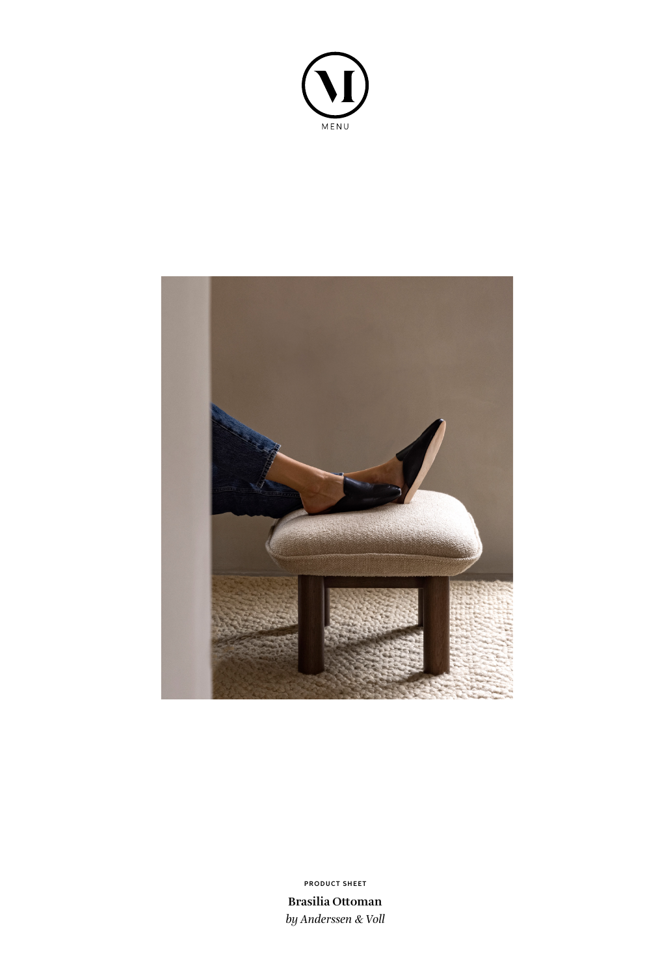



**Brasilia Ottoman** *by Anderssen & Voll* **PRODUCT SHEET**